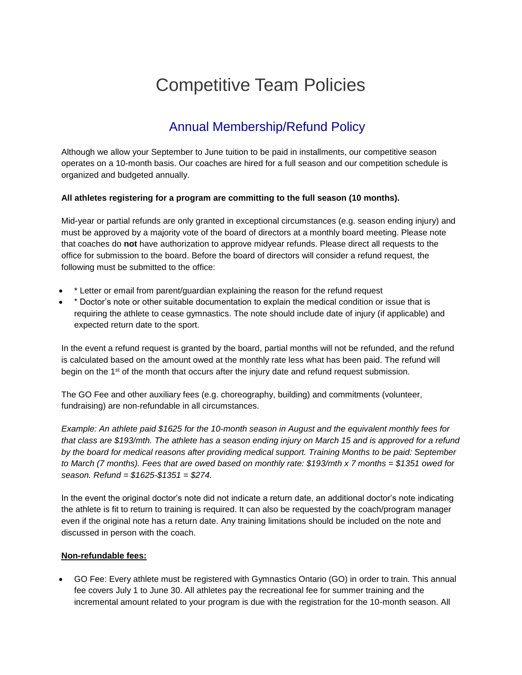# Competitive Team Policies

# Annual Membership/Refund Policy

Although we allow your September to June tuition to be paid in installments, our competitive season operates on a 10-month basis. Our coaches are hired for a full season and our competition schedule is organized and budgeted annually.

#### **All athletes registering for a program are committing to the full season (10 months).**

Mid-year or partial refunds are only granted in exceptional circumstances (e.g. season ending injury) and must be approved by a majority vote of the board of directors at a monthly board meeting. Please note that coaches do **not** have authorization to approve midyear refunds. Please direct all requests to the office for submission to the board. Before the board of directors will consider a refund request, the following must be submitted to the office:

- \* Letter or email from parent/guardian explaining the reason for the refund request
- \* Doctor's note or other suitable documentation to explain the medical condition or issue that is requiring the athlete to cease gymnastics. The note should include date of injury (if applicable) and expected return date to the sport.

In the event a refund request is granted by the board, partial months will not be refunded, and the refund is calculated based on the amount owed at the monthly rate less what has been paid. The refund will begin on the 1<sup>st</sup> of the month that occurs after the injury date and refund request submission.

The GO Fee and other auxiliary fees (e.g. choreography, building) and commitments (volunteer, fundraising) are non-refundable in all circumstances.

*Example: An athlete paid \$1625 for the 10-month season in August and the equivalent monthly fees for that class are \$193/mth. The athlete has a season ending injury on March 15 and is approved for a refund by the board for medical reasons after providing medical support. Training Months to be paid: September to March (7 months). Fees that are owed based on monthly rate: \$193/mth x 7 months = \$1351 owed for season. Refund = \$1625-\$1351 = \$274.*

In the event the original doctor's note did not indicate a return date, an additional doctor's note indicating the athlete is fit to return to training is required. It can also be requested by the coach/program manager even if the original note has a return date. Any training limitations should be included on the note and discussed in person with the coach.

#### **Non-refundable fees:**

• GO Fee: Every athlete must be registered with Gymnastics Ontario (GO) in order to train. This annual fee covers July 1 to June 30. All athletes pay the recreational fee for summer training and the incremental amount related to your program is due with the registration for the 10-month season. All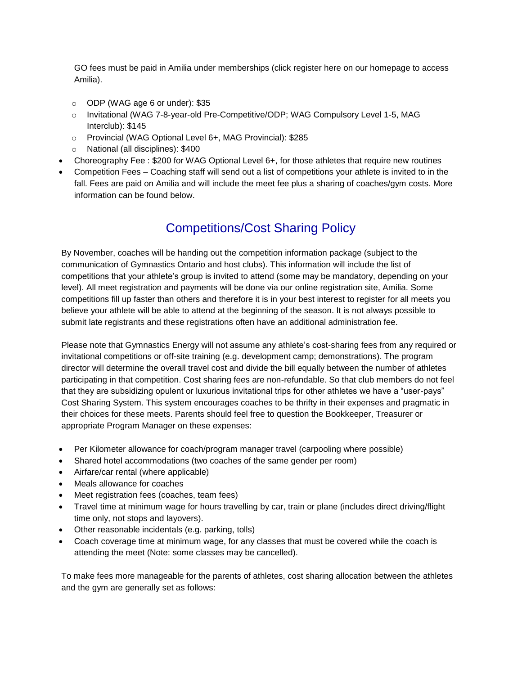GO fees must be paid in Amilia under memberships (click register here on our homepage to access Amilia).

- o ODP (WAG age 6 or under): \$35
- o Invitational (WAG 7-8-year-old Pre-Competitive/ODP; WAG Compulsory Level 1-5, MAG Interclub): \$145
- o Provincial (WAG Optional Level 6+, MAG Provincial): \$285
- o National (all disciplines): \$400
- Choreography Fee : \$200 for WAG Optional Level 6+, for those athletes that require new routines
- Competition Fees Coaching staff will send out a list of competitions your athlete is invited to in the fall. Fees are paid on Amilia and will include the meet fee plus a sharing of coaches/gym costs. More information can be found below.

# Competitions/Cost Sharing Policy

By November, coaches will be handing out the competition information package (subject to the communication of Gymnastics Ontario and host clubs). This information will include the list of competitions that your athlete's group is invited to attend (some may be mandatory, depending on your level). All meet registration and payments will be done via our online registration site, Amilia. Some competitions fill up faster than others and therefore it is in your best interest to register for all meets you believe your athlete will be able to attend at the beginning of the season. It is not always possible to submit late registrants and these registrations often have an additional administration fee.

Please note that Gymnastics Energy will not assume any athlete's cost-sharing fees from any required or invitational competitions or off-site training (e.g. development camp; demonstrations). The program director will determine the overall travel cost and divide the bill equally between the number of athletes participating in that competition. Cost sharing fees are non-refundable. So that club members do not feel that they are subsidizing opulent or luxurious invitational trips for other athletes we have a "user-pays" Cost Sharing System. This system encourages coaches to be thrifty in their expenses and pragmatic in their choices for these meets. Parents should feel free to question the Bookkeeper, Treasurer or appropriate Program Manager on these expenses:

- Per Kilometer allowance for coach/program manager travel (carpooling where possible)
- Shared hotel accommodations (two coaches of the same gender per room)
- Airfare/car rental (where applicable)
- Meals allowance for coaches
- Meet registration fees (coaches, team fees)
- Travel time at minimum wage for hours travelling by car, train or plane (includes direct driving/flight time only, not stops and layovers).
- Other reasonable incidentals (e.g. parking, tolls)
- Coach coverage time at minimum wage, for any classes that must be covered while the coach is attending the meet (Note: some classes may be cancelled).

To make fees more manageable for the parents of athletes, cost sharing allocation between the athletes and the gym are generally set as follows: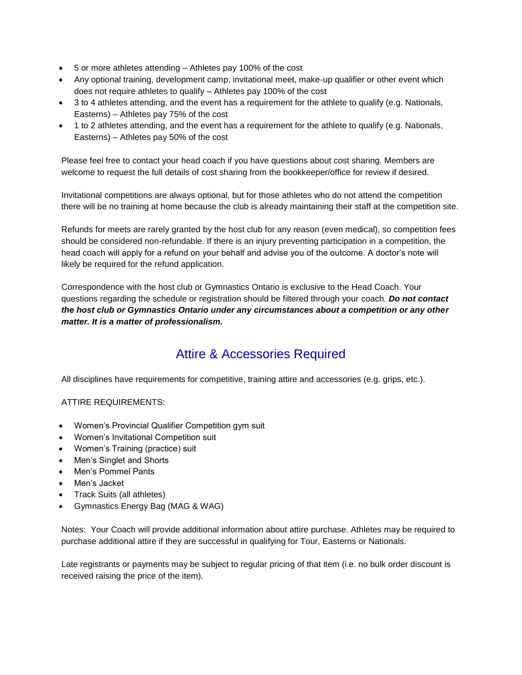- 5 or more athletes attending Athletes pay 100% of the cost
- Any optional training, development camp, invitational meet, make-up qualifier or other event which does not require athletes to qualify – Athletes pay 100% of the cost
- 3 to 4 athletes attending, and the event has a requirement for the athlete to qualify (e.g. Nationals, Easterns) – Athletes pay 75% of the cost
- 1 to 2 athletes attending, and the event has a requirement for the athlete to qualify (e.g. Nationals, Easterns) – Athletes pay 50% of the cost

Please feel free to contact your head coach if you have questions about cost sharing. Members are welcome to request the full details of cost sharing from the bookkeeper/office for review if desired.

Invitational competitions are always optional, but for those athletes who do not attend the competition there will be no training at home because the club is already maintaining their staff at the competition site.

Refunds for meets are rarely granted by the host club for any reason (even medical), so competition fees should be considered non-refundable. If there is an injury preventing participation in a competition, the head coach will apply for a refund on your behalf and advise you of the outcome. A doctor's note will likely be required for the refund application.

Correspondence with the host club or Gymnastics Ontario is exclusive to the Head Coach. Your questions regarding the schedule or registration should be filtered through your coach*. Do not contact the host club or Gymnastics Ontario under any circumstances about a competition or any other matter. It is a matter of professionalism.*

# Attire & Accessories Required

All disciplines have requirements for competitive, training attire and accessories (e.g. grips, etc.).

ATTIRE REQUIREMENTS:

- Women's Provincial Qualifier Competition gym suit
- Women's Invitational Competition suit
- Women's Training (practice) suit
- Men's Singlet and Shorts
- Men's Pommel Pants
- Men's Jacket
- Track Suits (all athletes)
- Gymnastics Energy Bag (MAG & WAG)

Notes: Your Coach will provide additional information about attire purchase. Athletes may be required to purchase additional attire if they are successful in qualifying for Tour, Easterns or Nationals.

Late registrants or payments may be subject to regular pricing of that item (i.e. no bulk order discount is received raising the price of the item).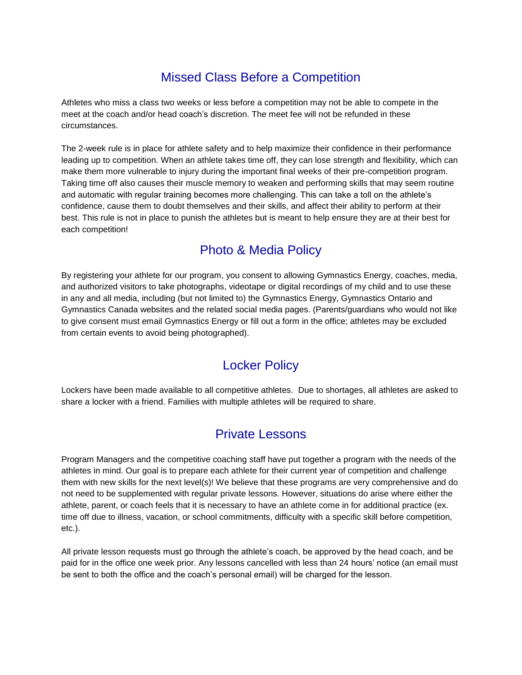# Missed Class Before a Competition

Athletes who miss a class two weeks or less before a competition may not be able to compete in the meet at the coach and/or head coach's discretion. The meet fee will not be refunded in these circumstances.

The 2-week rule is in place for athlete safety and to help maximize their confidence in their performance leading up to competition. When an athlete takes time off, they can lose strength and flexibility, which can make them more vulnerable to injury during the important final weeks of their pre-competition program. Taking time off also causes their muscle memory to weaken and performing skills that may seem routine and automatic with regular training becomes more challenging. This can take a toll on the athlete's confidence, cause them to doubt themselves and their skills, and affect their ability to perform at their best. This rule is not in place to punish the athletes but is meant to help ensure they are at their best for each competition!

## Photo & Media Policy

By registering your athlete for our program, you consent to allowing Gymnastics Energy, coaches, media, and authorized visitors to take photographs, videotape or digital recordings of my child and to use these in any and all media, including (but not limited to) the Gymnastics Energy, Gymnastics Ontario and Gymnastics Canada websites and the related social media pages. (Parents/guardians who would not like to give consent must email Gymnastics Energy or fill out a form in the office; athletes may be excluded from certain events to avoid being photographed).

### Locker Policy

Lockers have been made available to all competitive athletes. Due to shortages, all athletes are asked to share a locker with a friend. Families with multiple athletes will be required to share.

### Private Lessons

Program Managers and the competitive coaching staff have put together a program with the needs of the athletes in mind. Our goal is to prepare each athlete for their current year of competition and challenge them with new skills for the next level(s)! We believe that these programs are very comprehensive and do not need to be supplemented with regular private lessons. However, situations do arise where either the athlete, parent, or coach feels that it is necessary to have an athlete come in for additional practice (ex. time off due to illness, vacation, or school commitments, difficulty with a specific skill before competition, etc.).

All private lesson requests must go through the athlete's coach, be approved by the head coach, and be paid for in the office one week prior. Any lessons cancelled with less than 24 hours' notice (an email must be sent to both the office and the coach's personal email) will be charged for the lesson.